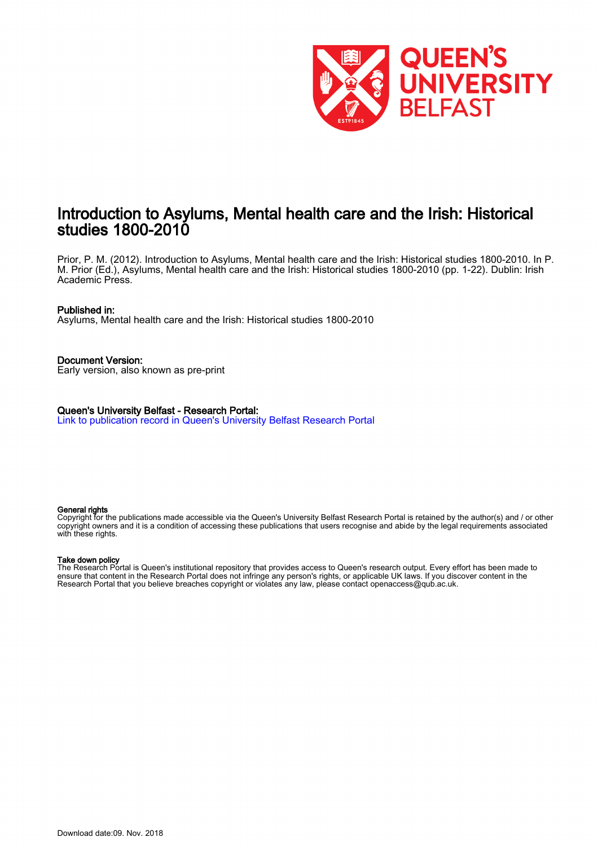

# Introduction to Asylums, Mental health care and the Irish: Historical studies 1800-2010

Prior, P. M. (2012). Introduction to Asylums, Mental health care and the Irish: Historical studies 1800-2010. In P. M. Prior (Ed.), Asylums, Mental health care and the Irish: Historical studies 1800-2010 (pp. 1-22). Dublin: Irish Academic Press.

# Published in:

Asylums, Mental health care and the Irish: Historical studies 1800-2010

Document Version: Early version, also known as pre-print

Queen's University Belfast - Research Portal: [Link to publication record in Queen's University Belfast Research Portal](https://pure.qub.ac.uk/portal/en/publications/introduction-to-asylums-mental-health-care-and-the-irish-historical-studies-18002010(717bcb85-399e-4fbd-a75e-3570df72cf03).html)

#### General rights

Copyright for the publications made accessible via the Queen's University Belfast Research Portal is retained by the author(s) and / or other copyright owners and it is a condition of accessing these publications that users recognise and abide by the legal requirements associated with these rights.

#### Take down policy

The Research Portal is Queen's institutional repository that provides access to Queen's research output. Every effort has been made to ensure that content in the Research Portal does not infringe any person's rights, or applicable UK laws. If you discover content in the Research Portal that you believe breaches copyright or violates any law, please contact openaccess@qub.ac.uk.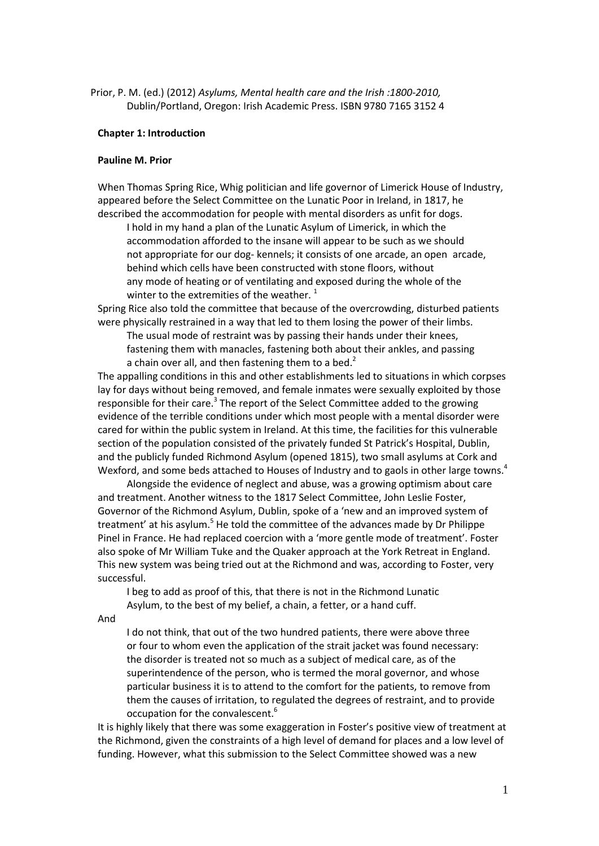Prior, P. M. (ed.) (2012) *Asylums, Mental health care and the Irish :1800-2010,*  Dublin/Portland, Oregon: Irish Academic Press. ISBN 9780 7165 3152 4

# **Chapter 1: Introduction**

# **Pauline M. Prior**

When Thomas Spring Rice, Whig politician and life governor of Limerick House of Industry, appeared before the Select Committee on the Lunatic Poor in Ireland, in 1817, he described the accommodation for people with mental disorders as unfit for dogs.

I hold in my hand a plan of the Lunatic Asylum of Limerick, in which the accommodation afforded to the insane will appear to be such as we should not appropriate for our dog- kennels; it consists of one arcade, an open arcade, behind which cells have been constructed with stone floors, without any mode of heating or of ventilating and exposed during the whole of the winter to the extremities of the weather.  $1$ 

Spring Rice also told the committee that because of the overcrowding, disturbed patients were physically restrained in a way that led to them losing the power of their limbs.

The usual mode of restraint was by passing their hands under their knees, fastening them with manacles, fastening both about their ankles, and passing a chain over all, and then fastening them to a bed. $2$ 

The appalling conditions in this and other establishments led to situations in which corpses lay for days without being removed, and female inmates were sexually exploited by those responsible for their care.<sup>3</sup> The report of the Select Committee added to the growing evidence of the terrible conditions under which most people with a mental disorder were cared for within the public system in Ireland. At this time, the facilities for this vulnerable section of the population consisted of the privately funded St Patrick's Hospital, Dublin, and the publicly funded Richmond Asylum (opened 1815), two small asylums at Cork and Wexford, and some beds attached to Houses of Industry and to gaols in other large towns.<sup>4</sup>

Alongside the evidence of neglect and abuse, was a growing optimism about care and treatment. Another witness to the 1817 Select Committee, John Leslie Foster, Governor of the Richmond Asylum, Dublin, spoke of a 'new and an improved system of treatment' at his asylum.<sup>5</sup> He told the committee of the advances made by Dr Philippe Pinel in France. He had replaced coercion with a 'more gentle mode of treatment'. Foster also spoke of Mr William Tuke and the Quaker approach at the York Retreat in England. This new system was being tried out at the Richmond and was, according to Foster, very successful.

I beg to add as proof of this, that there is not in the Richmond Lunatic Asylum, to the best of my belief, a chain, a fetter, or a hand cuff.

And

I do not think, that out of the two hundred patients, there were above three or four to whom even the application of the strait jacket was found necessary: the disorder is treated not so much as a subject of medical care, as of the superintendence of the person, who is termed the moral governor, and whose particular business it is to attend to the comfort for the patients, to remove from them the causes of irritation, to regulated the degrees of restraint, and to provide occupation for the convalescent.<sup>6</sup>

It is highly likely that there was some exaggeration in Foster's positive view of treatment at the Richmond, given the constraints of a high level of demand for places and a low level of funding. However, what this submission to the Select Committee showed was a new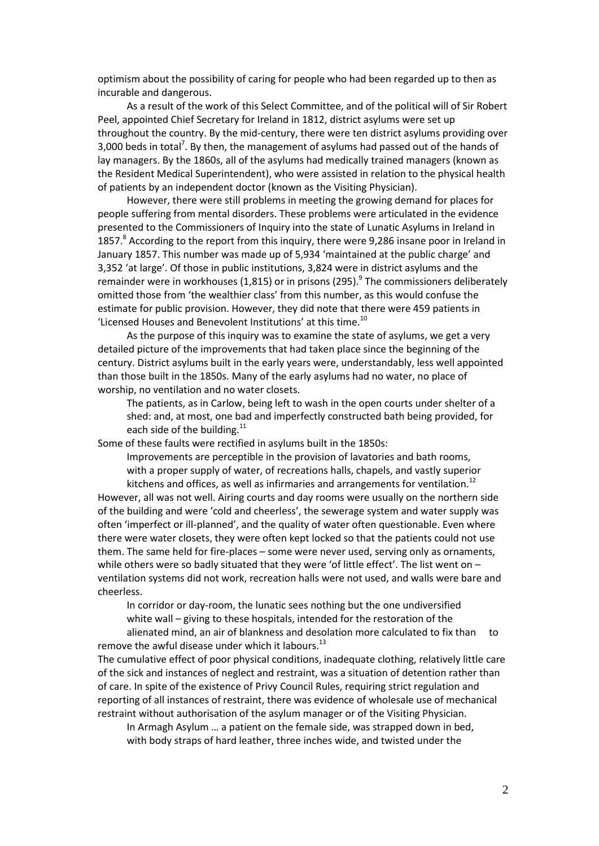optimism about the possibility of caring for people who had been regarded up to then as incurable and dangerous.

As a result of the work of this Select Committee, and of the political will of Sir Robert Peel, appointed Chief Secretary for Ireland in 1812, district asylums were set up throughout the country. By the mid-century, there were ten district asylums providing over 3,000 beds in total<sup>7</sup>. By then, the management of asylums had passed out of the hands of lay managers. By the 1860s, all of the asylums had medically trained managers (known as the Resident Medical Superintendent), who were assisted in relation to the physical health of patients by an independent doctor (known as the Visiting Physician).

However, there were still problems in meeting the growing demand for places for people suffering from mental disorders. These problems were articulated in the evidence presented to the Commissioners of Inquiry into the state of Lunatic Asylums in Ireland in 1857.<sup>8</sup> According to the report from this inquiry, there were 9,286 insane poor in Ireland in January 1857. This number was made up of 5,934 'maintained at the public charge' and 3,352 'at large'. Of those in public institutions, 3,824 were in district asylums and the remainder were in workhouses (1,815) or in prisons (295). $^9$  The commissioners deliberately omitted those from 'the wealthier class' from this number, as this would confuse the estimate for public provision. However, they did note that there were 459 patients in 'Licensed Houses and Benevolent Institutions' at this time.<sup>10</sup>

As the purpose of this inquiry was to examine the state of asylums, we get a very detailed picture of the improvements that had taken place since the beginning of the century. District asylums built in the early years were, understandably, less well appointed than those built in the 1850s. Many of the early asylums had no water, no place of worship, no ventilation and no water closets.

The patients, as in Carlow, being left to wash in the open courts under shelter of a shed: and, at most, one bad and imperfectly constructed bath being provided, for each side of the building. $^{11}$ 

Some of these faults were rectified in asylums built in the 1850s:

Improvements are perceptible in the provision of lavatories and bath rooms, with a proper supply of water, of recreations halls, chapels, and vastly superior kitchens and offices, as well as infirmaries and arrangements for ventilation.<sup>12</sup>

However, all was not well. Airing courts and day rooms were usually on the northern side of the building and were 'cold and cheerless', the sewerage system and water supply was often 'imperfect or ill-planned', and the quality of water often questionable. Even where there were water closets, they were often kept locked so that the patients could not use them. The same held for fire-places – some were never used, serving only as ornaments, while others were so badly situated that they were 'of little effect'. The list went on ventilation systems did not work, recreation halls were not used, and walls were bare and cheerless.

In corridor or day-room, the lunatic sees nothing but the one undiversified white wall – giving to these hospitals, intended for the restoration of the alienated mind, an air of blankness and desolation more calculated to fix than to remove the awful disease under which it labours. $^{13}$ 

The cumulative effect of poor physical conditions, inadequate clothing, relatively little care of the sick and instances of neglect and restraint, was a situation of detention rather than of care. In spite of the existence of Privy Council Rules, requiring strict regulation and reporting of all instances of restraint, there was evidence of wholesale use of mechanical restraint without authorisation of the asylum manager or of the Visiting Physician.

In Armagh Asylum … a patient on the female side, was strapped down in bed, with body straps of hard leather, three inches wide, and twisted under the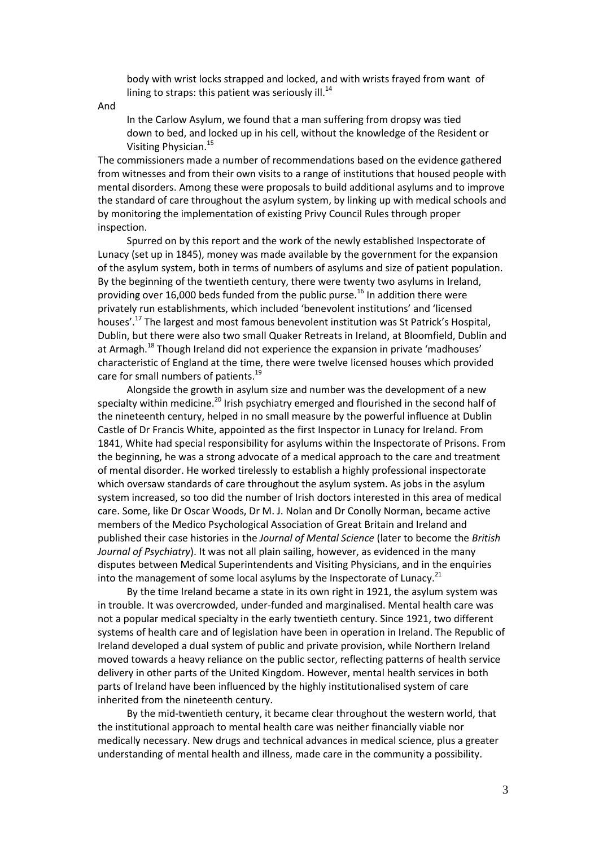body with wrist locks strapped and locked, and with wrists frayed from want of lining to straps: this patient was seriously ill. $^{14}$ 

And

In the Carlow Asylum, we found that a man suffering from dropsy was tied down to bed, and locked up in his cell, without the knowledge of the Resident or Visiting Physician.<sup>15</sup>

The commissioners made a number of recommendations based on the evidence gathered from witnesses and from their own visits to a range of institutions that housed people with mental disorders. Among these were proposals to build additional asylums and to improve the standard of care throughout the asylum system, by linking up with medical schools and by monitoring the implementation of existing Privy Council Rules through proper inspection.

Spurred on by this report and the work of the newly established Inspectorate of Lunacy (set up in 1845), money was made available by the government for the expansion of the asylum system, both in terms of numbers of asylums and size of patient population. By the beginning of the twentieth century, there were twenty two asylums in Ireland, providing over 16,000 beds funded from the public purse.<sup>16</sup> In addition there were privately run establishments, which included 'benevolent institutions' and 'licensed houses'.<sup>17</sup> The largest and most famous benevolent institution was St Patrick's Hospital, Dublin, but there were also two small Quaker Retreats in Ireland, at Bloomfield, Dublin and at Armagh.<sup>18</sup> Though Ireland did not experience the expansion in private 'madhouses' characteristic of England at the time, there were twelve licensed houses which provided care for small numbers of patients.<sup>19</sup>

Alongside the growth in asylum size and number was the development of a new specialty within medicine.<sup>20</sup> Irish psychiatry emerged and flourished in the second half of the nineteenth century, helped in no small measure by the powerful influence at Dublin Castle of Dr Francis White, appointed as the first Inspector in Lunacy for Ireland. From 1841, White had special responsibility for asylums within the Inspectorate of Prisons. From the beginning, he was a strong advocate of a medical approach to the care and treatment of mental disorder. He worked tirelessly to establish a highly professional inspectorate which oversaw standards of care throughout the asylum system. As jobs in the asylum system increased, so too did the number of Irish doctors interested in this area of medical care. Some, like Dr Oscar Woods, Dr M. J. Nolan and Dr Conolly Norman, became active members of the Medico Psychological Association of Great Britain and Ireland and published their case histories in the *Journal of Mental Science* (later to become the *British Journal of Psychiatry*). It was not all plain sailing, however, as evidenced in the many disputes between Medical Superintendents and Visiting Physicians, and in the enquiries into the management of some local asylums by the Inspectorate of Lunacy. $^{21}$ 

By the time Ireland became a state in its own right in 1921, the asylum system was in trouble. It was overcrowded, under-funded and marginalised. Mental health care was not a popular medical specialty in the early twentieth century. Since 1921, two different systems of health care and of legislation have been in operation in Ireland. The Republic of Ireland developed a dual system of public and private provision, while Northern Ireland moved towards a heavy reliance on the public sector, reflecting patterns of health service delivery in other parts of the United Kingdom. However, mental health services in both parts of Ireland have been influenced by the highly institutionalised system of care inherited from the nineteenth century.

By the mid-twentieth century, it became clear throughout the western world, that the institutional approach to mental health care was neither financially viable nor medically necessary. New drugs and technical advances in medical science, plus a greater understanding of mental health and illness, made care in the community a possibility.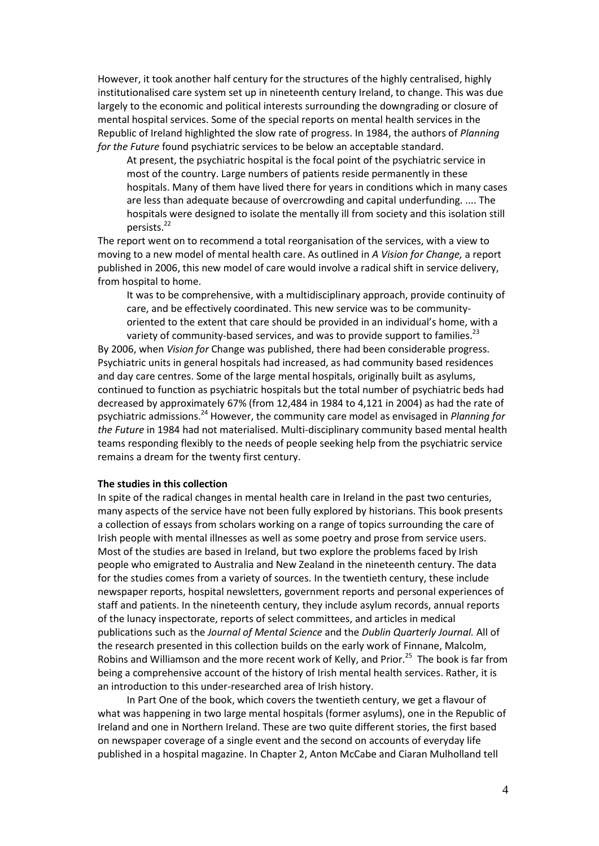However, it took another half century for the structures of the highly centralised, highly institutionalised care system set up in nineteenth century Ireland, to change. This was due largely to the economic and political interests surrounding the downgrading or closure of mental hospital services. Some of the special reports on mental health services in the Republic of Ireland highlighted the slow rate of progress. In 1984, the authors of *Planning for the Future* found psychiatric services to be below an acceptable standard.

At present, the psychiatric hospital is the focal point of the psychiatric service in most of the country. Large numbers of patients reside permanently in these hospitals. Many of them have lived there for years in conditions which in many cases are less than adequate because of overcrowding and capital underfunding. .... The hospitals were designed to isolate the mentally ill from society and this isolation still persists.<sup>22</sup>

The report went on to recommend a total reorganisation of the services, with a view to moving to a new model of mental health care. As outlined in *A Vision for Change,* a report published in 2006, this new model of care would involve a radical shift in service delivery, from hospital to home.

It was to be comprehensive, with a multidisciplinary approach, provide continuity of care, and be effectively coordinated. This new service was to be communityoriented to the extent that care should be provided in an individual's home, with a variety of community-based services, and was to provide support to families.<sup>23</sup>

By 2006, when *Vision for* Change was published, there had been considerable progress. Psychiatric units in general hospitals had increased, as had community based residences and day care centres. Some of the large mental hospitals, originally built as asylums, continued to function as psychiatric hospitals but the total number of psychiatric beds had decreased by approximately 67% (from 12,484 in 1984 to 4,121 in 2004) as had the rate of psychiatric admissions.<sup>24</sup> However, the community care model as envisaged in *Planning for the Future* in 1984 had not materialised. Multi-disciplinary community based mental health teams responding flexibly to the needs of people seeking help from the psychiatric service remains a dream for the twenty first century.

# **The studies in this collection**

In spite of the radical changes in mental health care in Ireland in the past two centuries, many aspects of the service have not been fully explored by historians. This book presents a collection of essays from scholars working on a range of topics surrounding the care of Irish people with mental illnesses as well as some poetry and prose from service users. Most of the studies are based in Ireland, but two explore the problems faced by Irish people who emigrated to Australia and New Zealand in the nineteenth century. The data for the studies comes from a variety of sources. In the twentieth century, these include newspaper reports, hospital newsletters, government reports and personal experiences of staff and patients. In the nineteenth century, they include asylum records, annual reports of the lunacy inspectorate, reports of select committees, and articles in medical publications such as the *Journal of Mental Science* and the *Dublin Quarterly Journal.* All of the research presented in this collection builds on the early work of Finnane, Malcolm, Robins and Williamson and the more recent work of Kelly, and Prior.<sup>25</sup> The book is far from being a comprehensive account of the history of Irish mental health services. Rather, it is an introduction to this under-researched area of Irish history.

In Part One of the book, which covers the twentieth century, we get a flavour of what was happening in two large mental hospitals (former asylums), one in the Republic of Ireland and one in Northern Ireland. These are two quite different stories, the first based on newspaper coverage of a single event and the second on accounts of everyday life published in a hospital magazine. In Chapter 2, Anton McCabe and Ciaran Mulholland tell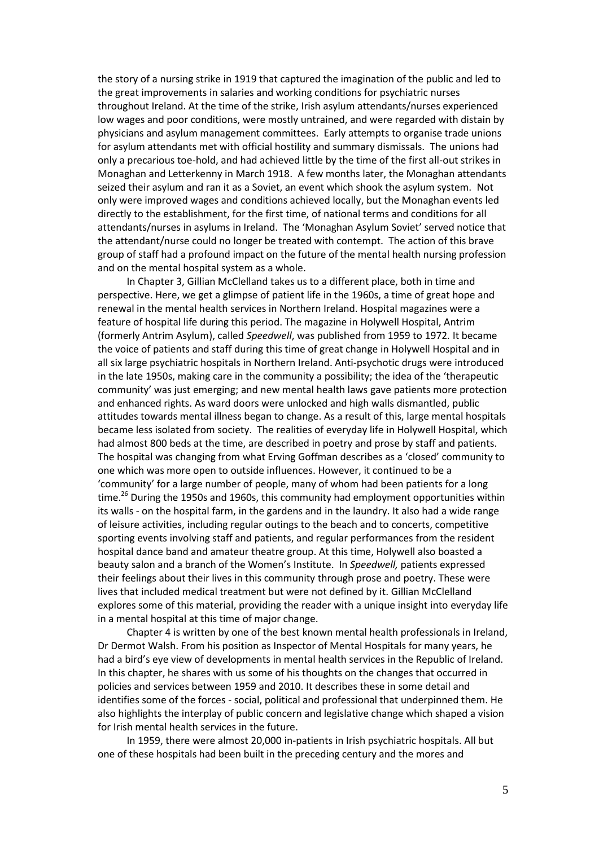the story of a nursing strike in 1919 that captured the imagination of the public and led to the great improvements in salaries and working conditions for psychiatric nurses throughout Ireland. At the time of the strike, Irish asylum attendants/nurses experienced low wages and poor conditions, were mostly untrained, and were regarded with distain by physicians and asylum management committees. Early attempts to organise trade unions for asylum attendants met with official hostility and summary dismissals. The unions had only a precarious toe-hold, and had achieved little by the time of the first all-out strikes in Monaghan and Letterkenny in March 1918. A few months later, the Monaghan attendants seized their asylum and ran it as a Soviet, an event which shook the asylum system. Not only were improved wages and conditions achieved locally, but the Monaghan events led directly to the establishment, for the first time, of national terms and conditions for all attendants/nurses in asylums in Ireland. The 'Monaghan Asylum Soviet' served notice that the attendant/nurse could no longer be treated with contempt. The action of this brave group of staff had a profound impact on the future of the mental health nursing profession and on the mental hospital system as a whole.

In Chapter 3, Gillian McClelland takes us to a different place, both in time and perspective. Here, we get a glimpse of patient life in the 1960s, a time of great hope and renewal in the mental health services in Northern Ireland. Hospital magazines were a feature of hospital life during this period. The magazine in Holywell Hospital, Antrim (formerly Antrim Asylum), called *Speedwell*, was published from 1959 to 1972*.* It became the voice of patients and staff during this time of great change in Holywell Hospital and in all six large psychiatric hospitals in Northern Ireland. Anti-psychotic drugs were introduced in the late 1950s, making care in the community a possibility; the idea of the 'therapeutic community' was just emerging; and new mental health laws gave patients more protection and enhanced rights. As ward doors were unlocked and high walls dismantled, public attitudes towards mental illness began to change. As a result of this, large mental hospitals became less isolated from society. The realities of everyday life in Holywell Hospital, which had almost 800 beds at the time, are described in poetry and prose by staff and patients. The hospital was changing from what Erving Goffman describes as a 'closed' community to one which was more open to outside influences. However, it continued to be a 'community' for a large number of people, many of whom had been patients for a long time.<sup>26</sup> During the 1950s and 1960s, this community had employment opportunities within its walls - on the hospital farm, in the gardens and in the laundry. It also had a wide range of leisure activities, including regular outings to the beach and to concerts, competitive sporting events involving staff and patients, and regular performances from the resident hospital dance band and amateur theatre group. At this time, Holywell also boasted a beauty salon and a branch of the Women's Institute. In *Speedwell,* patients expressed their feelings about their lives in this community through prose and poetry. These were lives that included medical treatment but were not defined by it. Gillian McClelland explores some of this material, providing the reader with a unique insight into everyday life in a mental hospital at this time of major change.

Chapter 4 is written by one of the best known mental health professionals in Ireland, Dr Dermot Walsh. From his position as Inspector of Mental Hospitals for many years, he had a bird's eye view of developments in mental health services in the Republic of Ireland. In this chapter, he shares with us some of his thoughts on the changes that occurred in policies and services between 1959 and 2010. It describes these in some detail and identifies some of the forces - social, political and professional that underpinned them. He also highlights the interplay of public concern and legislative change which shaped a vision for Irish mental health services in the future.

In 1959, there were almost 20,000 in-patients in Irish psychiatric hospitals. All but one of these hospitals had been built in the preceding century and the mores and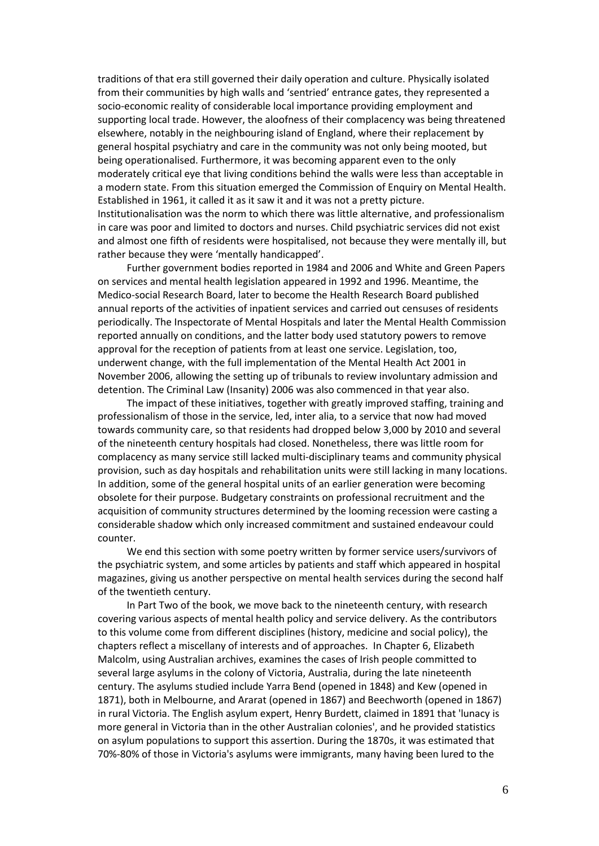traditions of that era still governed their daily operation and culture. Physically isolated from their communities by high walls and 'sentried' entrance gates, they represented a socio-economic reality of considerable local importance providing employment and supporting local trade. However, the aloofness of their complacency was being threatened elsewhere, notably in the neighbouring island of England, where their replacement by general hospital psychiatry and care in the community was not only being mooted, but being operationalised. Furthermore, it was becoming apparent even to the only moderately critical eye that living conditions behind the walls were less than acceptable in a modern state. From this situation emerged the Commission of Enquiry on Mental Health. Established in 1961, it called it as it saw it and it was not a pretty picture. Institutionalisation was the norm to which there was little alternative, and professionalism in care was poor and limited to doctors and nurses. Child psychiatric services did not exist and almost one fifth of residents were hospitalised, not because they were mentally ill, but rather because they were 'mentally handicapped'.

Further government bodies reported in 1984 and 2006 and White and Green Papers on services and mental health legislation appeared in 1992 and 1996. Meantime, the Medico-social Research Board, later to become the Health Research Board published annual reports of the activities of inpatient services and carried out censuses of residents periodically. The Inspectorate of Mental Hospitals and later the Mental Health Commission reported annually on conditions, and the latter body used statutory powers to remove approval for the reception of patients from at least one service. Legislation, too, underwent change, with the full implementation of the Mental Health Act 2001 in November 2006, allowing the setting up of tribunals to review involuntary admission and detention. The Criminal Law (Insanity) 2006 was also commenced in that year also.

The impact of these initiatives, together with greatly improved staffing, training and professionalism of those in the service, led, inter alia, to a service that now had moved towards community care, so that residents had dropped below 3,000 by 2010 and several of the nineteenth century hospitals had closed. Nonetheless, there was little room for complacency as many service still lacked multi-disciplinary teams and community physical provision, such as day hospitals and rehabilitation units were still lacking in many locations. In addition, some of the general hospital units of an earlier generation were becoming obsolete for their purpose. Budgetary constraints on professional recruitment and the acquisition of community structures determined by the looming recession were casting a considerable shadow which only increased commitment and sustained endeavour could counter.

We end this section with some poetry written by former service users/survivors of the psychiatric system, and some articles by patients and staff which appeared in hospital magazines, giving us another perspective on mental health services during the second half of the twentieth century.

In Part Two of the book, we move back to the nineteenth century, with research covering various aspects of mental health policy and service delivery. As the contributors to this volume come from different disciplines (history, medicine and social policy), the chapters reflect a miscellany of interests and of approaches. In Chapter 6, Elizabeth Malcolm, using Australian archives, examines the cases of Irish people committed to several large asylums in the colony of Victoria, Australia, during the late nineteenth century. The asylums studied include Yarra Bend (opened in 1848) and Kew (opened in 1871), both in Melbourne, and Ararat (opened in 1867) and Beechworth (opened in 1867) in rural Victoria. The English asylum expert, Henry Burdett, claimed in 1891 that 'lunacy is more general in Victoria than in the other Australian colonies', and he provided statistics on asylum populations to support this assertion. During the 1870s, it was estimated that 70%-80% of those in Victoria's asylums were immigrants, many having been lured to the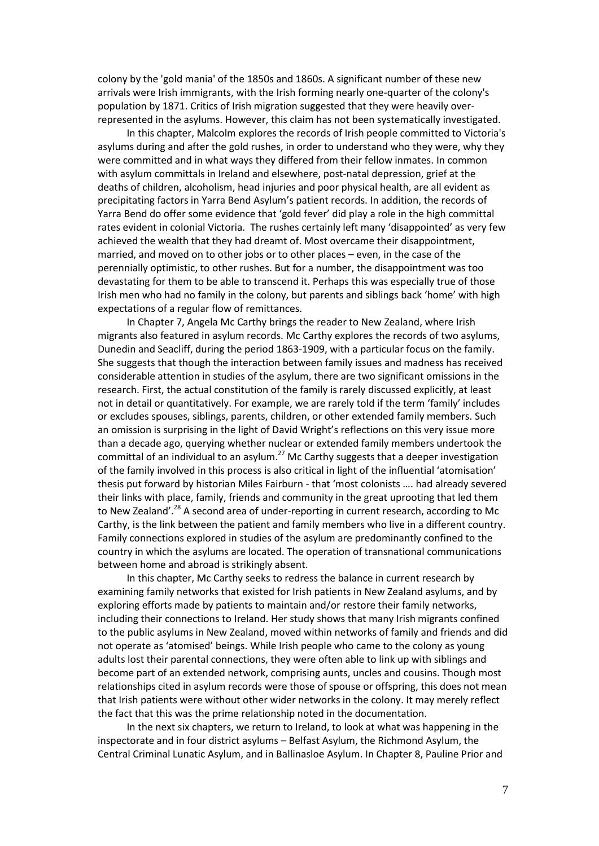colony by the 'gold mania' of the 1850s and 1860s. A significant number of these new arrivals were Irish immigrants, with the Irish forming nearly one-quarter of the colony's population by 1871. Critics of Irish migration suggested that they were heavily overrepresented in the asylums. However, this claim has not been systematically investigated.

In this chapter, Malcolm explores the records of Irish people committed to Victoria's asylums during and after the gold rushes, in order to understand who they were, why they were committed and in what ways they differed from their fellow inmates. In common with asylum committals in Ireland and elsewhere, post-natal depression, grief at the deaths of children, alcoholism, head injuries and poor physical health, are all evident as precipitating factors in Yarra Bend Asylum's patient records. In addition, the records of Yarra Bend do offer some evidence that 'gold fever' did play a role in the high committal rates evident in colonial Victoria. The rushes certainly left many 'disappointed' as very few achieved the wealth that they had dreamt of. Most overcame their disappointment, married, and moved on to other jobs or to other places – even, in the case of the perennially optimistic, to other rushes. But for a number, the disappointment was too devastating for them to be able to transcend it. Perhaps this was especially true of those Irish men who had no family in the colony, but parents and siblings back 'home' with high expectations of a regular flow of remittances.

In Chapter 7, Angela Mc Carthy brings the reader to New Zealand, where Irish migrants also featured in asylum records. Mc Carthy explores the records of two asylums, Dunedin and Seacliff, during the period 1863-1909, with a particular focus on the family. She suggests that though the interaction between family issues and madness has received considerable attention in studies of the asylum, there are two significant omissions in the research. First, the actual constitution of the family is rarely discussed explicitly, at least not in detail or quantitatively. For example, we are rarely told if the term 'family' includes or excludes spouses, siblings, parents, children, or other extended family members. Such an omission is surprising in the light of David Wright's reflections on this very issue more than a decade ago, querying whether nuclear or extended family members undertook the committal of an individual to an asylum.<sup>27</sup> Mc Carthy suggests that a deeper investigation of the family involved in this process is also critical in light of the influential 'atomisation' thesis put forward by historian Miles Fairburn - that 'most colonists …. had already severed their links with place, family, friends and community in the great uprooting that led them to New Zealand'.<sup>28</sup> A second area of under-reporting in current research, according to Mc Carthy, is the link between the patient and family members who live in a different country. Family connections explored in studies of the asylum are predominantly confined to the country in which the asylums are located. The operation of transnational communications between home and abroad is strikingly absent.

In this chapter, Mc Carthy seeks to redress the balance in current research by examining family networks that existed for Irish patients in New Zealand asylums, and by exploring efforts made by patients to maintain and/or restore their family networks, including their connections to Ireland. Her study shows that many Irish migrants confined to the public asylums in New Zealand, moved within networks of family and friends and did not operate as 'atomised' beings. While Irish people who came to the colony as young adults lost their parental connections, they were often able to link up with siblings and become part of an extended network, comprising aunts, uncles and cousins. Though most relationships cited in asylum records were those of spouse or offspring, this does not mean that Irish patients were without other wider networks in the colony. It may merely reflect the fact that this was the prime relationship noted in the documentation.

In the next six chapters, we return to Ireland, to look at what was happening in the inspectorate and in four district asylums – Belfast Asylum, the Richmond Asylum, the Central Criminal Lunatic Asylum, and in Ballinasloe Asylum. In Chapter 8, Pauline Prior and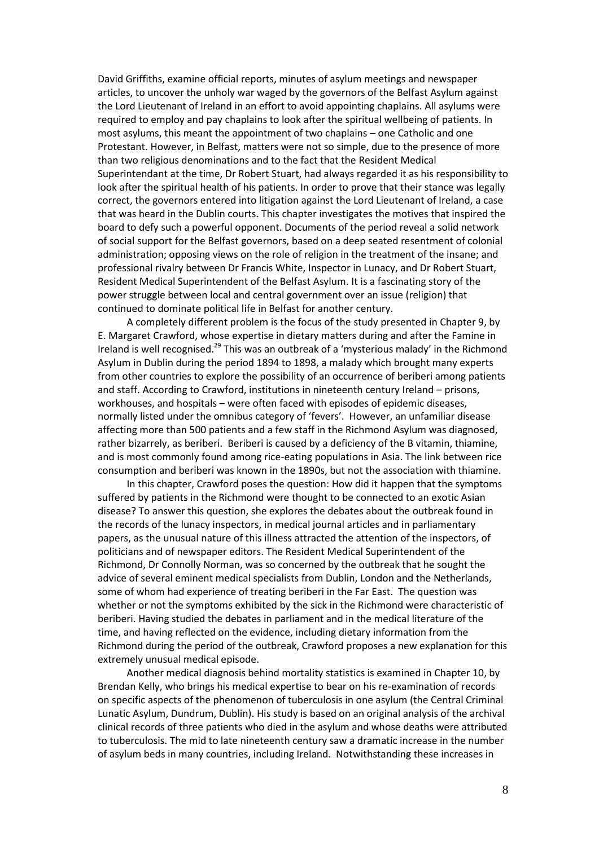David Griffiths, examine official reports, minutes of asylum meetings and newspaper articles, to uncover the unholy war waged by the governors of the Belfast Asylum against the Lord Lieutenant of Ireland in an effort to avoid appointing chaplains. All asylums were required to employ and pay chaplains to look after the spiritual wellbeing of patients. In most asylums, this meant the appointment of two chaplains – one Catholic and one Protestant. However, in Belfast, matters were not so simple, due to the presence of more than two religious denominations and to the fact that the Resident Medical Superintendant at the time, Dr Robert Stuart, had always regarded it as his responsibility to look after the spiritual health of his patients. In order to prove that their stance was legally correct, the governors entered into litigation against the Lord Lieutenant of Ireland, a case that was heard in the Dublin courts. This chapter investigates the motives that inspired the board to defy such a powerful opponent. Documents of the period reveal a solid network of social support for the Belfast governors, based on a deep seated resentment of colonial administration; opposing views on the role of religion in the treatment of the insane; and professional rivalry between Dr Francis White, Inspector in Lunacy, and Dr Robert Stuart, Resident Medical Superintendent of the Belfast Asylum. It is a fascinating story of the power struggle between local and central government over an issue (religion) that continued to dominate political life in Belfast for another century.

A completely different problem is the focus of the study presented in Chapter 9, by E. Margaret Crawford, whose expertise in dietary matters during and after the Famine in Ireland is well recognised.<sup>29</sup> This was an outbreak of a 'mysterious malady' in the Richmond Asylum in Dublin during the period 1894 to 1898, a malady which brought many experts from other countries to explore the possibility of an occurrence of beriberi among patients and staff. According to Crawford, institutions in nineteenth century Ireland – prisons, workhouses, and hospitals – were often faced with episodes of epidemic diseases, normally listed under the omnibus category of 'fevers'. However, an unfamiliar disease affecting more than 500 patients and a few staff in the Richmond Asylum was diagnosed, rather bizarrely, as beriberi. Beriberi is caused by a deficiency of the B vitamin, thiamine, and is most commonly found among rice-eating populations in Asia. The link between rice consumption and beriberi was known in the 1890s, but not the association with thiamine.

In this chapter, Crawford poses the question: How did it happen that the symptoms suffered by patients in the Richmond were thought to be connected to an exotic Asian disease? To answer this question, she explores the debates about the outbreak found in the records of the lunacy inspectors, in medical journal articles and in parliamentary papers, as the unusual nature of this illness attracted the attention of the inspectors, of politicians and of newspaper editors. The Resident Medical Superintendent of the Richmond, Dr Connolly Norman, was so concerned by the outbreak that he sought the advice of several eminent medical specialists from Dublin, London and the Netherlands, some of whom had experience of treating beriberi in the Far East. The question was whether or not the symptoms exhibited by the sick in the Richmond were characteristic of beriberi. Having studied the debates in parliament and in the medical literature of the time, and having reflected on the evidence, including dietary information from the Richmond during the period of the outbreak, Crawford proposes a new explanation for this extremely unusual medical episode.

Another medical diagnosis behind mortality statistics is examined in Chapter 10, by Brendan Kelly, who brings his medical expertise to bear on his re-examination of records on specific aspects of the phenomenon of tuberculosis in one asylum (the Central Criminal Lunatic Asylum, Dundrum, Dublin). His study is based on an original analysis of the archival clinical records of three patients who died in the asylum and whose deaths were attributed to tuberculosis. The mid to late nineteenth century saw a dramatic increase in the number of asylum beds in many countries, including Ireland. Notwithstanding these increases in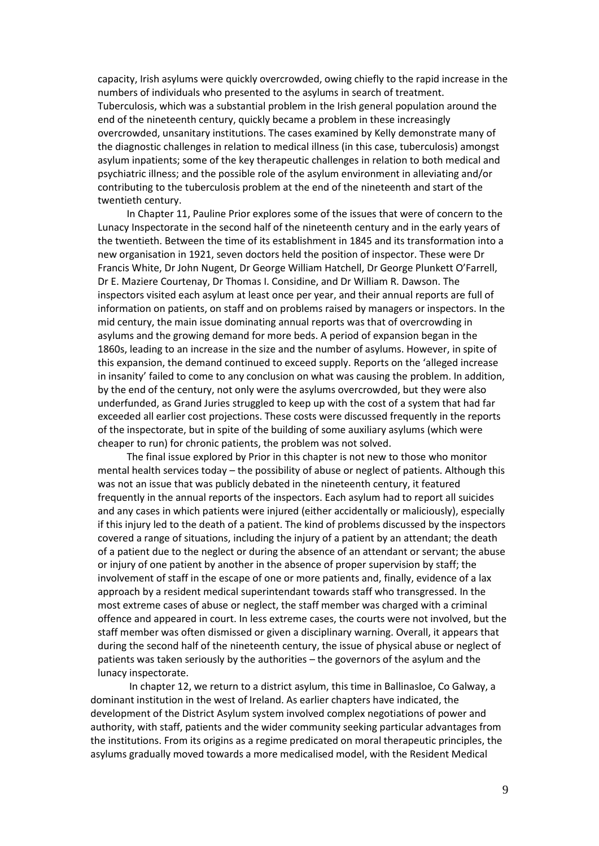capacity, Irish asylums were quickly overcrowded, owing chiefly to the rapid increase in the numbers of individuals who presented to the asylums in search of treatment. Tuberculosis, which was a substantial problem in the Irish general population around the end of the nineteenth century, quickly became a problem in these increasingly overcrowded, unsanitary institutions. The cases examined by Kelly demonstrate many of the diagnostic challenges in relation to medical illness (in this case, tuberculosis) amongst asylum inpatients; some of the key therapeutic challenges in relation to both medical and psychiatric illness; and the possible role of the asylum environment in alleviating and/or contributing to the tuberculosis problem at the end of the nineteenth and start of the twentieth century.

In Chapter 11, Pauline Prior explores some of the issues that were of concern to the Lunacy Inspectorate in the second half of the nineteenth century and in the early years of the twentieth. Between the time of its establishment in 1845 and its transformation into a new organisation in 1921, seven doctors held the position of inspector. These were Dr Francis White, Dr John Nugent, Dr George William Hatchell, Dr George Plunkett O'Farrell, Dr E. Maziere Courtenay, Dr Thomas I. Considine, and Dr William R. Dawson. The inspectors visited each asylum at least once per year, and their annual reports are full of information on patients, on staff and on problems raised by managers or inspectors. In the mid century, the main issue dominating annual reports was that of overcrowding in asylums and the growing demand for more beds. A period of expansion began in the 1860s, leading to an increase in the size and the number of asylums. However, in spite of this expansion, the demand continued to exceed supply. Reports on the 'alleged increase in insanity' failed to come to any conclusion on what was causing the problem. In addition, by the end of the century, not only were the asylums overcrowded, but they were also underfunded, as Grand Juries struggled to keep up with the cost of a system that had far exceeded all earlier cost projections. These costs were discussed frequently in the reports of the inspectorate, but in spite of the building of some auxiliary asylums (which were cheaper to run) for chronic patients, the problem was not solved.

The final issue explored by Prior in this chapter is not new to those who monitor mental health services today – the possibility of abuse or neglect of patients. Although this was not an issue that was publicly debated in the nineteenth century, it featured frequently in the annual reports of the inspectors. Each asylum had to report all suicides and any cases in which patients were injured (either accidentally or maliciously), especially if this injury led to the death of a patient. The kind of problems discussed by the inspectors covered a range of situations, including the injury of a patient by an attendant; the death of a patient due to the neglect or during the absence of an attendant or servant; the abuse or injury of one patient by another in the absence of proper supervision by staff; the involvement of staff in the escape of one or more patients and, finally, evidence of a lax approach by a resident medical superintendant towards staff who transgressed. In the most extreme cases of abuse or neglect, the staff member was charged with a criminal offence and appeared in court. In less extreme cases, the courts were not involved, but the staff member was often dismissed or given a disciplinary warning. Overall, it appears that during the second half of the nineteenth century, the issue of physical abuse or neglect of patients was taken seriously by the authorities – the governors of the asylum and the lunacy inspectorate.

In chapter 12, we return to a district asylum, this time in Ballinasloe, Co Galway, a dominant institution in the west of Ireland. As earlier chapters have indicated, the development of the District Asylum system involved complex negotiations of power and authority, with staff, patients and the wider community seeking particular advantages from the institutions. From its origins as a regime predicated on moral therapeutic principles, the asylums gradually moved towards a more medicalised model, with the Resident Medical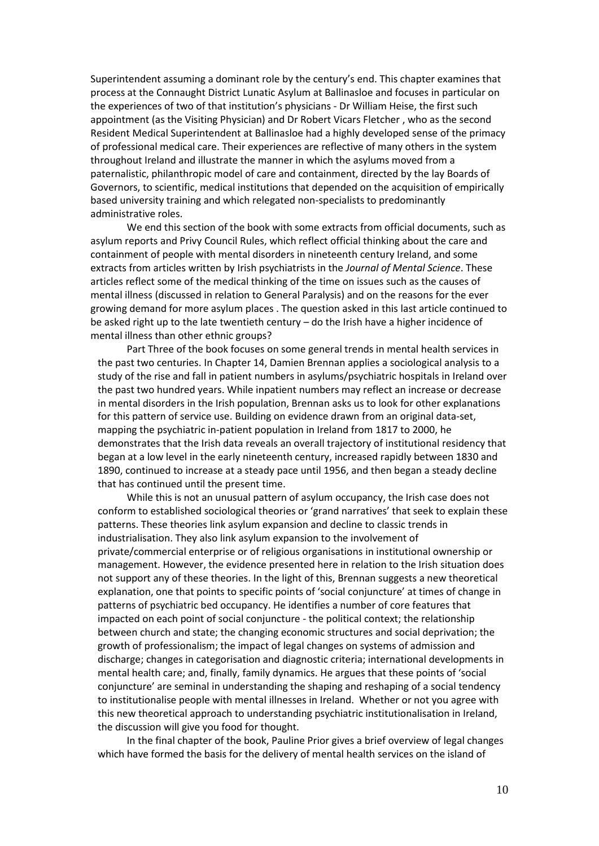Superintendent assuming a dominant role by the century's end. This chapter examines that process at the Connaught District Lunatic Asylum at Ballinasloe and focuses in particular on the experiences of two of that institution's physicians - Dr William Heise, the first such appointment (as the Visiting Physician) and Dr Robert Vicars Fletcher , who as the second Resident Medical Superintendent at Ballinasloe had a highly developed sense of the primacy of professional medical care. Their experiences are reflective of many others in the system throughout Ireland and illustrate the manner in which the asylums moved from a paternalistic, philanthropic model of care and containment, directed by the lay Boards of Governors, to scientific, medical institutions that depended on the acquisition of empirically based university training and which relegated non-specialists to predominantly administrative roles.

We end this section of the book with some extracts from official documents, such as asylum reports and Privy Council Rules, which reflect official thinking about the care and containment of people with mental disorders in nineteenth century Ireland, and some extracts from articles written by Irish psychiatrists in the *Journal of Mental Science*. These articles reflect some of the medical thinking of the time on issues such as the causes of mental illness (discussed in relation to General Paralysis) and on the reasons for the ever growing demand for more asylum places . The question asked in this last article continued to be asked right up to the late twentieth century – do the Irish have a higher incidence of mental illness than other ethnic groups?

Part Three of the book focuses on some general trends in mental health services in the past two centuries. In Chapter 14, Damien Brennan applies a sociological analysis to a study of the rise and fall in patient numbers in asylums/psychiatric hospitals in Ireland over the past two hundred years. While inpatient numbers may reflect an increase or decrease in mental disorders in the Irish population, Brennan asks us to look for other explanations for this pattern of service use. Building on evidence drawn from an original data-set, mapping the psychiatric in-patient population in Ireland from 1817 to 2000, he demonstrates that the Irish data reveals an overall trajectory of institutional residency that began at a low level in the early nineteenth century, increased rapidly between 1830 and 1890, continued to increase at a steady pace until 1956, and then began a steady decline that has continued until the present time.

While this is not an unusual pattern of asylum occupancy, the Irish case does not conform to established sociological theories or 'grand narratives' that seek to explain these patterns. These theories link asylum expansion and decline to classic trends in industrialisation. They also link asylum expansion to the involvement of private/commercial enterprise or of religious organisations in institutional ownership or management. However, the evidence presented here in relation to the Irish situation does not support any of these theories. In the light of this, Brennan suggests a new theoretical explanation, one that points to specific points of 'social conjuncture' at times of change in patterns of psychiatric bed occupancy. He identifies a number of core features that impacted on each point of social conjuncture - the political context; the relationship between church and state; the changing economic structures and social deprivation; the growth of professionalism; the impact of legal changes on systems of admission and discharge; changes in categorisation and diagnostic criteria; international developments in mental health care; and, finally, family dynamics. He argues that these points of 'social conjuncture' are seminal in understanding the shaping and reshaping of a social tendency to institutionalise people with mental illnesses in Ireland. Whether or not you agree with this new theoretical approach to understanding psychiatric institutionalisation in Ireland, the discussion will give you food for thought.

In the final chapter of the book, Pauline Prior gives a brief overview of legal changes which have formed the basis for the delivery of mental health services on the island of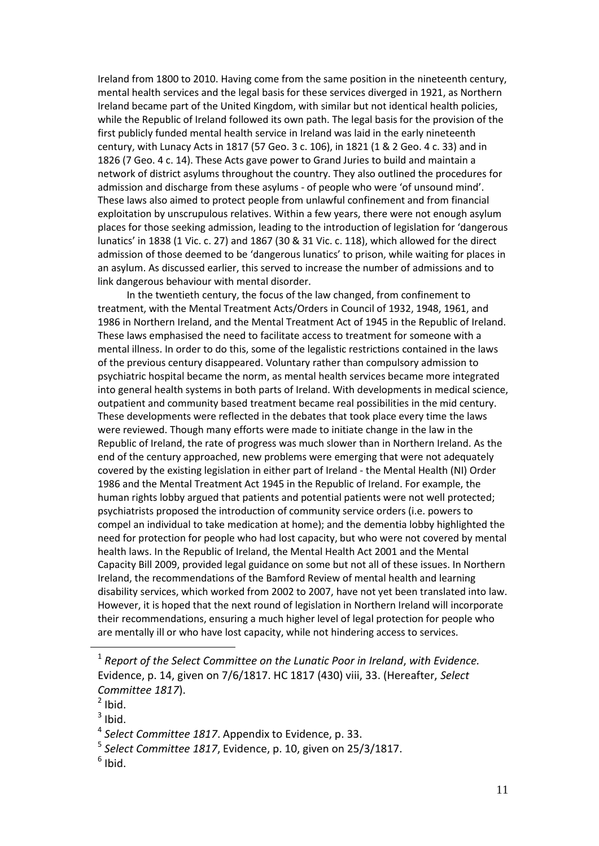Ireland from 1800 to 2010. Having come from the same position in the nineteenth century, mental health services and the legal basis for these services diverged in 1921, as Northern Ireland became part of the United Kingdom, with similar but not identical health policies, while the Republic of Ireland followed its own path. The legal basis for the provision of the first publicly funded mental health service in Ireland was laid in the early nineteenth century, with Lunacy Acts in 1817 (57 Geo. 3 c. 106), in 1821 (1 & 2 Geo. 4 c. 33) and in 1826 (7 Geo. 4 c. 14). These Acts gave power to Grand Juries to build and maintain a network of district asylums throughout the country. They also outlined the procedures for admission and discharge from these asylums - of people who were 'of unsound mind'. These laws also aimed to protect people from unlawful confinement and from financial exploitation by unscrupulous relatives. Within a few years, there were not enough asylum places for those seeking admission, leading to the introduction of legislation for 'dangerous lunatics' in 1838 (1 Vic. c. 27) and 1867 (30 & 31 Vic. c. 118), which allowed for the direct admission of those deemed to be 'dangerous lunatics' to prison, while waiting for places in an asylum. As discussed earlier, this served to increase the number of admissions and to link dangerous behaviour with mental disorder.

In the twentieth century, the focus of the law changed, from confinement to treatment, with the Mental Treatment Acts/Orders in Council of 1932, 1948, 1961, and 1986 in Northern Ireland, and the Mental Treatment Act of 1945 in the Republic of Ireland. These laws emphasised the need to facilitate access to treatment for someone with a mental illness. In order to do this, some of the legalistic restrictions contained in the laws of the previous century disappeared. Voluntary rather than compulsory admission to psychiatric hospital became the norm, as mental health services became more integrated into general health systems in both parts of Ireland. With developments in medical science, outpatient and community based treatment became real possibilities in the mid century. These developments were reflected in the debates that took place every time the laws were reviewed. Though many efforts were made to initiate change in the law in the Republic of Ireland, the rate of progress was much slower than in Northern Ireland. As the end of the century approached, new problems were emerging that were not adequately covered by the existing legislation in either part of Ireland - the Mental Health (NI) Order 1986 and the Mental Treatment Act 1945 in the Republic of Ireland. For example, the human rights lobby argued that patients and potential patients were not well protected; psychiatrists proposed the introduction of community service orders (i.e. powers to compel an individual to take medication at home); and the dementia lobby highlighted the need for protection for people who had lost capacity, but who were not covered by mental health laws. In the Republic of Ireland, the Mental Health Act 2001 and the Mental Capacity Bill 2009, provided legal guidance on some but not all of these issues. In Northern Ireland, the recommendations of the Bamford Review of mental health and learning disability services, which worked from 2002 to 2007, have not yet been translated into law. However, it is hoped that the next round of legislation in Northern Ireland will incorporate their recommendations, ensuring a much higher level of legal protection for people who are mentally ill or who have lost capacity, while not hindering access to services.

1

<sup>1</sup> *Report of the Select Committee on the Lunatic Poor in Ireland*, *with Evidence.* Evidence, p. 14, given on 7/6/1817. HC 1817 (430) viii, 33. (Hereafter, *Select Committee 1817*).

 $<sup>2</sup>$  Ibid.</sup>

 $3$  Ibid.

<sup>4</sup> *Select Committee 1817*. Appendix to Evidence, p. 33.

<sup>5</sup> *Select Committee 1817*, Evidence, p. 10, given on 25/3/1817.

 $<sup>6</sup>$  Ibid.</sup>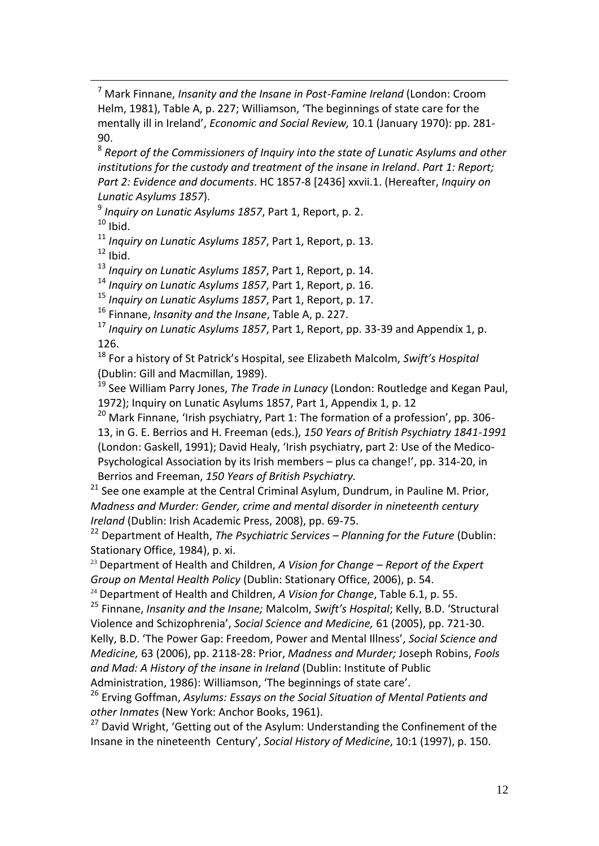<sup>7</sup> Mark Finnane, *Insanity and the Insane in Post-Famine Ireland* (London: Croom Helm, 1981), Table A, p. 227; Williamson, 'The beginnings of state care for the mentally ill in Ireland', *Economic and Social Review,* 10.1 (January 1970): pp. 281- 90.

<sup>8</sup> Report of the Commissioners of Inquiry into the state of Lunatic Asylums and other *institutions for the custody and treatment of the insane in Ireland*. *Part 1: Report; Part 2: Evidence and documents*. HC 1857-8 [2436] xxvii.1. (Hereafter, *Inquiry on Lunatic Asylums 1857*).

9 *Inquiry on Lunatic Asylums 1857*, Part 1, Report, p. 2.  $10$  Ibid.

<sup>11</sup> *Inquiry on Lunatic Asylums 1857*, Part 1, Report, p. 13.

 $12$  Ibid.

<u>.</u>

<sup>13</sup> *Inquiry on Lunatic Asylums 1857*, Part 1, Report, p. 14.

<sup>14</sup> *Inquiry on Lunatic Asylums 1857*, Part 1, Report, p. 16.

<sup>15</sup> *Inquiry on Lunatic Asylums 1857*, Part 1, Report, p. 17.

<sup>16</sup> Finnane, *Insanity and the Insane*, Table A, p. 227.

<sup>17</sup> *Inquiry on Lunatic Asylums 1857*, Part 1, Report, pp. 33-39 and Appendix 1, p. 126.

<sup>18</sup> For a history of St Patrick's Hospital, see Elizabeth Malcolm, *Swift's Hospital*  (Dublin: Gill and Macmillan, 1989).

<sup>19</sup> See William Parry Jones, *The Trade in Lunacy* (London: Routledge and Kegan Paul, 1972); Inquiry on Lunatic Asylums 1857, Part 1, Appendix 1, p. 12

 $20$  Mark Finnane, 'Irish psychiatry, Part 1: The formation of a profession', pp. 306-13, in G. E. Berrios and H. Freeman (eds.), *150 Years of British Psychiatry 1841-1991* (London: Gaskell, 1991); David Healy, 'Irish psychiatry, part 2: Use of the Medico-Psychological Association by its Irish members – plus ca change!', pp. 314-20, in Berrios and Freeman, *150 Years of British Psychiatry.*

 $21$  See one example at the Central Criminal Asylum, Dundrum, in Pauline M. Prior, *Madness and Murder: Gender, crime and mental disorder in nineteenth century Ireland* (Dublin: Irish Academic Press, 2008), pp. 69-75.

<sup>22</sup> Department of Health, *The Psychiatric Services – Planning for the Future* (Dublin: Stationary Office, 1984), p. xi.

<sup>23</sup> Department of Health and Children, *A Vision for Change – Report of the Expert Group on Mental Health Policy* (Dublin: Stationary Office, 2006), p. 54.

<sup>24</sup> Department of Health and Children, *A Vision for Change*, Table 6.1, p. 55.

<sup>25</sup> Finnane, *Insanity and the Insane;* Malcolm, *Swift's Hospital*; Kelly, B.D. 'Structural Violence and Schizophrenia', *Social Science and Medicine,* 61 (2005), pp. 721-30.

Kelly, B.D. 'The Power Gap: Freedom, Power and Mental Illness', *Social Science and Medicine,* 63 (2006), pp. 2118-28: Prior, *Madness and Murder;* Joseph Robins, *Fools and Mad: A History of the insane in Ireland* (Dublin: Institute of Public Administration, 1986): Williamson, 'The beginnings of state care'.

<sup>26</sup> Erving Goffman, *Asylums: Essays on the Social Situation of Mental Patients and other Inmates* (New York: Anchor Books, 1961).

 $27$  David Wright, 'Getting out of the Asylum: Understanding the Confinement of the Insane in the nineteenth Century', *Social History of Medicine*, 10:1 (1997), p. 150.